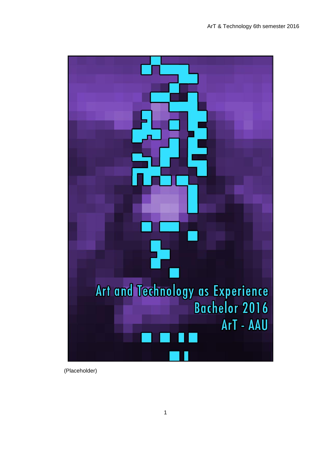

(Placeholder)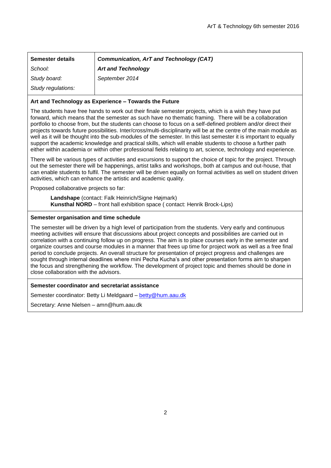| <b>Semester details</b> | <b>Communication, ArT and Technology (CAT)</b> |
|-------------------------|------------------------------------------------|
| School:                 | <b>Art and Technology</b>                      |
| Study board:            | September 2014                                 |
| Study regulations:      |                                                |

### **Art and Technology as Experience – Towards the Future**

The students have free hands to work out their finale semester projects, which is a wish they have put forward, which means that the semester as such have no thematic framing. There will be a collaboration portfolio to choose from, but the students can choose to focus on a self-defined problem and/or direct their projects towards future possibilities. Inter/cross/multi-disciplinarity will be at the centre of the main module as well as it will be thought into the sub-modules of the semester. In this last semester it is important to equally support the academic knowledge and practical skills, which will enable students to choose a further path either within academia or within other professional fields relating to art, science, technology and experience.

There will be various types of activities and excursions to support the choice of topic for the project. Through out the semester there will be happenings, artist talks and workshops, both at campus and out-house, that can enable students to fulfil. The semester will be driven equally on formal activities as well on student driven activities, which can enhance the artistic and academic quality.

Proposed collaborative projects so far:

**Landshape** (contact: Falk Heinrich/Signe Højmark) **Kunsthal NORD** – front hall exhibition space ( contact: Henrik Brock-Lips)

### **Semester organisation and time schedule**

The semester will be driven by a high level of participation from the students. Very early and continuous meeting activities will ensure that discussions about project concepts and possibilities are carried out in correlation with a continuing follow up on progress. The aim is to place courses early in the semester and organize courses and course modules in a manner that frees up time for project work as well as a free final period to conclude projects. An overall structure for presentation of project progress and challenges are sought through internal deadlines where mini Pecha Kucha's and other presentation forms aim to sharpen the focus and strengthening the workflow. The development of project topic and themes should be done in close collaboration with the advisors.

### **Semester coordinator and secretariat assistance**

Semester coordinator: Betty Li Meldgaard – [betty@hum.aau.dk](mailto:betty@hum.aau.dk)

Secretary: Anne Nielsen – amn@hum.aau.dk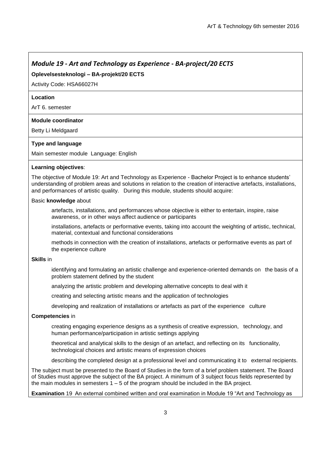# *Module 19 - Art and Technology as Experience - BA-project/20 ECTS*

# **Oplevelsesteknologi – BA-projekt/20 ECTS**

Activity Code: HSA66027H

#### **Location**

ArT 6. semester

### **Module coordinator**

Betty Li Meldgaard

### **Type and language**

Main semester module Language: English

### **Learning objectives**:

The objective of Module 19: Art and Technology as Experience - Bachelor Project is to enhance students' understanding of problem areas and solutions in relation to the creation of interactive artefacts, installations, and performances of artistic quality. During this module, students should acquire:

### Basic **knowledge** about

artefacts, installations, and performances whose objective is either to entertain, inspire, raise awareness, or in other ways affect audience or participants

installations, artefacts or performative events, taking into account the weighting of artistic, technical, material, contextual and functional considerations

methods in connection with the creation of installations, artefacts or performative events as part of the experience culture

#### **Skills** in

identifying and formulating an artistic challenge and experience-oriented demands on the basis of a problem statement defined by the student

analyzing the artistic problem and developing alternative concepts to deal with it

creating and selecting artistic means and the application of technologies

developing and realization of installations or artefacts as part of the experience culture

#### **Competencies** in

creating engaging experience designs as a synthesis of creative expression, technology, and human performance/participation in artistic settings applying

theoretical and analytical skills to the design of an artefact, and reflecting on its functionality, technological choices and artistic means of expression choices

describing the completed design at a professional level and communicating it to external recipients.

The subject must be presented to the Board of Studies in the form of a brief problem statement. The Board of Studies must approve the subject of the BA project. A minimum of 3 subject focus fields represented by the main modules in semesters  $1 - 5$  of the program should be included in the BA project.

**Examination** 19 An external combined written and oral examination in Module 19 "Art and Technology as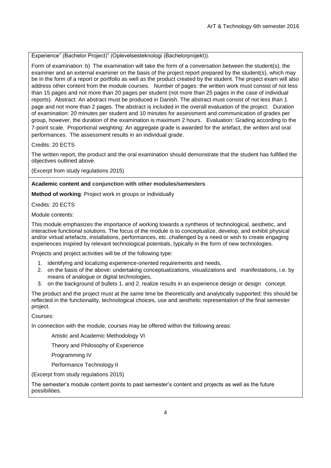Experience" (Bachelor Project)" (Oplevelsesteknologi (Bachelorprojekt)).

Form of examination: b) The examination will take the form of a conversation between the student(s), the examiner and an external examiner on the basis of the project report prepared by the student(s), which may be in the form of a report or portfolio as well as the product created by the student. The project exam will also address other content from the module courses. Number of pages: the written work must consist of not less than 15 pages and not more than 20 pages per student (not more than 25 pages in the case of individual reports). Abstract: An abstract must be produced in Danish. The abstract must consist of not less than 1 page and not more than 2 pages. The abstract is included in the overall evaluation of the project. Duration of examination: 20 minutes per student and 10 minutes for assessment and communication of grades per group, however, the duration of the examination is maximum 2 hours. Evaluation: Grading according to the 7-point scale. Proportional weighting: An aggregate grade is awarded for the artefact, the written and oral performances. The assessment results in an individual grade.

Credits: 20 ECTS

The written report, the product and the oral examination should demonstrate that the student has fulfilled the objectives outlined above.

(Excerpt from study regulations 2015)

# **Academic content and conjunction with other modules/semesters**

**Method of working**: Project work in groups or individually

Credits: 20 ECTS

Module contents:

This module emphasizes the importance of working towards a synthesis of technological, aesthetic, and interactive functional solutions. The focus of the module is to conceptualize, develop, and exhibit physical and/or virtual artefacts, installations, performances, etc. challenged by a need or wish to create engaging experiences inspired by relevant technological potentials, typically in the form of new technologies.

Projects and project activities will be of the following type:

- 1. identifying and localizing experience-oriented requirements and needs,
- 2. on the basis of the above: undertaking conceptualizations, visualizations and manifestations, i.e. by means of analogue or digital technologies,
- 3. on the background of bullets 1. and 2. realize results in an experience design or design concept.

The product and the project must at the same time be theoretically and analytically supported; this should be reflected in the functionality, technological choices, use and aesthetic representation of the final semester project.

Courses:

In connection with the module, courses may be offered within the following areas:

Artistic and Academic Methodology VI

Theory and Philosophy of Experience

Programming IV

Performance Technology II

(Excerpt from study regulations 2015)

The semester's module content points to past semester's content and projects as well as the future possibilities.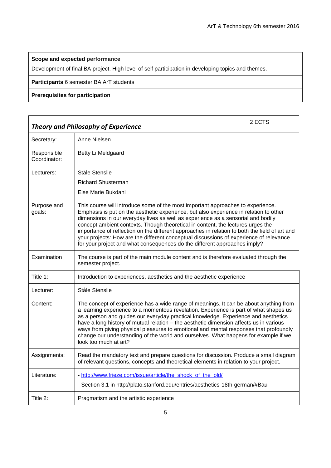# **Scope and expected performance**

Development of final BA project. High level of self participation in developing topics and themes.

# **Participants** 6 semester BA ArT students

# **Prerequisites for participation**

| <b>Theory and Philosophy of Experience</b> |                                                                                                                                                                                                                                                                                                                                                                                                                                                                                                                                                                                                                         | 2 ECTS |
|--------------------------------------------|-------------------------------------------------------------------------------------------------------------------------------------------------------------------------------------------------------------------------------------------------------------------------------------------------------------------------------------------------------------------------------------------------------------------------------------------------------------------------------------------------------------------------------------------------------------------------------------------------------------------------|--------|
| Secretary:                                 | Anne Nielsen                                                                                                                                                                                                                                                                                                                                                                                                                                                                                                                                                                                                            |        |
| Responsible<br>Coordinator:                | Betty Li Meldgaard                                                                                                                                                                                                                                                                                                                                                                                                                                                                                                                                                                                                      |        |
| Lecturers:                                 | Ståle Stenslie                                                                                                                                                                                                                                                                                                                                                                                                                                                                                                                                                                                                          |        |
|                                            | <b>Richard Shusterman</b>                                                                                                                                                                                                                                                                                                                                                                                                                                                                                                                                                                                               |        |
|                                            | Else Marie Bukdahl                                                                                                                                                                                                                                                                                                                                                                                                                                                                                                                                                                                                      |        |
| Purpose and<br>goals:                      | This course will introduce some of the most important approaches to experience.<br>Emphasis is put on the aesthetic experience, but also experience in relation to other<br>dimensions in our everyday lives as well as experience as a sensorial and bodily<br>concept ambient contexts. Though theoretical in content, the lectures urges the<br>importance of reflection on the different approaches in relation to both the field of art and<br>your projects: How are the different conceptual discussions of experience of relevance<br>for your project and what consequences do the different approaches imply? |        |
| Examination                                | The course is part of the main module content and is therefore evaluated through the<br>semester project.                                                                                                                                                                                                                                                                                                                                                                                                                                                                                                               |        |
| Title 1:                                   | Introduction to experiences, aesthetics and the aesthetic experience                                                                                                                                                                                                                                                                                                                                                                                                                                                                                                                                                    |        |
| Lecturer:                                  | Ståle Stenslie                                                                                                                                                                                                                                                                                                                                                                                                                                                                                                                                                                                                          |        |
| Content:                                   | The concept of experience has a wide range of meanings. It can be about anything from<br>a learning experience to a momentous revelation. Experience is part of what shapes us<br>as a person and guides our everyday practical knowledge. Experience and aesthetics<br>have a long history of mutual relation - the aesthetic dimension affects us in various<br>ways from giving physical pleasures to emotional and mental responses that profoundly<br>change our understanding of the world and ourselves. What happens for example if we<br>look too much at art?                                                 |        |
| Assignments:                               | Read the mandatory text and prepare questions for discussion. Produce a small diagram<br>of relevant questions, concepts and theoretical elements in relation to your project.                                                                                                                                                                                                                                                                                                                                                                                                                                          |        |
| Literature:                                | - http://www.frieze.com/issue/article/the_shock_of_the_old/<br>- Section 3.1 in http://plato.stanford.edu/entries/aesthetics-18th-german/#Bau                                                                                                                                                                                                                                                                                                                                                                                                                                                                           |        |
| Title 2:                                   | Pragmatism and the artistic experience                                                                                                                                                                                                                                                                                                                                                                                                                                                                                                                                                                                  |        |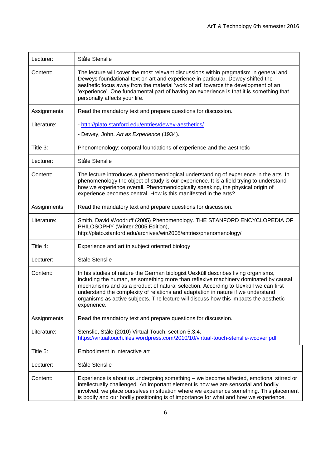| Lecturer:    | Ståle Stenslie                                                                                                                                                                                                                                                                                                                                                                                                                                              |
|--------------|-------------------------------------------------------------------------------------------------------------------------------------------------------------------------------------------------------------------------------------------------------------------------------------------------------------------------------------------------------------------------------------------------------------------------------------------------------------|
| Content:     | The lecture will cover the most relevant discussions within pragmatism in general and<br>Deweys foundational text on art and experience in particular. Dewey shifted the<br>aesthetic focus away from the material 'work of art' towards the development of an<br>'experience'. One fundamental part of having an experience is that it is something that<br>personally affects your life.                                                                  |
| Assignments: | Read the mandatory text and prepare questions for discussion.                                                                                                                                                                                                                                                                                                                                                                                               |
| Literature:  | - http://plato.stanford.edu/entries/dewey-aesthetics/<br>- Dewey, John. Art as Experience (1934).                                                                                                                                                                                                                                                                                                                                                           |
| Title 3:     | Phenomenology: corporal foundations of experience and the aesthetic                                                                                                                                                                                                                                                                                                                                                                                         |
| Lecturer:    | Ståle Stenslie                                                                                                                                                                                                                                                                                                                                                                                                                                              |
| Content:     | The lecture introduces a phenomenological understanding of experience in the arts. In<br>phenomenology the object of study is our experience. It is a field trying to understand<br>how we experience overall. Phenomenologically speaking, the physical origin of<br>experience becomes central. How is this manifested in the arts?                                                                                                                       |
| Assignments: | Read the mandatory text and prepare questions for discussion.                                                                                                                                                                                                                                                                                                                                                                                               |
| Literature:  | Smith, David Woodruff (2005) Phenomenology. THE STANFORD ENCYCLOPEDIA OF<br>PHILOSOPHY (Winter 2005 Edition),<br>http://plato.stanford.edu/archives/win2005/entries/phenomenology/                                                                                                                                                                                                                                                                          |
| Title 4:     | Experience and art in subject oriented biology                                                                                                                                                                                                                                                                                                                                                                                                              |
| Lecturer:    | Ståle Stenslie                                                                                                                                                                                                                                                                                                                                                                                                                                              |
| Content:     | In his studies of nature the German biologist Uexküll describes living organisms,<br>including the human, as something more than reflexive machinery dominated by causal<br>mechanisms and as a product of natural selection. According to Uexküll we can first<br>understand the complexity of relations and adaptation in nature if we understand<br>organisms as active subjects. The lecture will discuss how this impacts the aesthetic<br>experience. |
| Assignments: | Read the mandatory text and prepare questions for discussion.                                                                                                                                                                                                                                                                                                                                                                                               |
| Literature:  | Stenslie, Ståle (2010) Virtual Touch, section 5.3.4.<br>https://virtualtouch.files.wordpress.com/2010/10/virtual-touch-stenslie-wcover.pdf                                                                                                                                                                                                                                                                                                                  |
| Title 5:     | Embodiment in interactive art                                                                                                                                                                                                                                                                                                                                                                                                                               |
| Lecturer:    | Ståle Stenslie                                                                                                                                                                                                                                                                                                                                                                                                                                              |
| Content:     | Experience is about us undergoing something – we become affected, emotional stirred or<br>intellectually challenged. An important element is how we are sensorial and bodily<br>involved; we place ourselves in situation where we experience something. This placement<br>is bodily and our bodily positioning is of importance for what and how we experience.                                                                                            |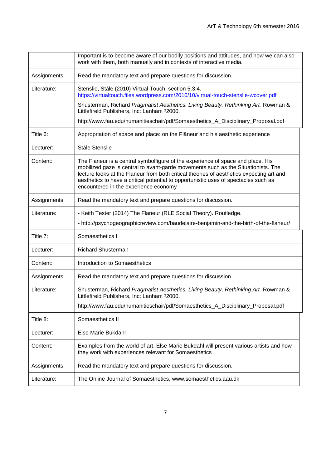|              | Important is to become aware of our bodily positions and attitudes, and how we can also<br>work with them, both manually and in contexts of interactive media.                                                                                                                                                                                                                                   |
|--------------|--------------------------------------------------------------------------------------------------------------------------------------------------------------------------------------------------------------------------------------------------------------------------------------------------------------------------------------------------------------------------------------------------|
| Assignments: | Read the mandatory text and prepare questions for discussion.                                                                                                                                                                                                                                                                                                                                    |
| Literature:  | Stenslie, Ståle (2010) Virtual Touch, section 5.3.4.<br>https://virtualtouch.files.wordpress.com/2010/10/virtual-touch-stenslie-wcover.pdf                                                                                                                                                                                                                                                       |
|              | Shusterman, Richard Pragmatist Aesthetics. Living Beauty, Rethinking Art. Rowman &<br>Littlefireld Publishers, Inc: Lanham <sup>2</sup> 2000.                                                                                                                                                                                                                                                    |
|              | http://www.fau.edu/humanitieschair/pdf/Somaesthetics_A_Disciplinary_Proposal.pdf                                                                                                                                                                                                                                                                                                                 |
| Title 6:     | Appropriation of space and place: on the Flâneur and his aesthetic experience                                                                                                                                                                                                                                                                                                                    |
| Lecturer:    | Ståle Stenslie                                                                                                                                                                                                                                                                                                                                                                                   |
| Content:     | The Flaneur is a central symbolfigure of the experience of space and place. His<br>mobilized gaze is central to avant-garde movements such as the Situationists. The<br>lecture looks at the Flaneur from both critical theories of aesthetics expecting art and<br>aesthetics to have a critical potential to opportunistic uses of spectacles such as<br>encountered in the experience economy |
| Assignments: | Read the mandatory text and prepare questions for discussion.                                                                                                                                                                                                                                                                                                                                    |
| Literature:  | - Keith Tester (2014) The Flaneur (RLE Social Theory). Routledge.                                                                                                                                                                                                                                                                                                                                |
|              | - http://psychogeographicreview.com/baudelaire-benjamin-and-the-birth-of-the-flaneur/                                                                                                                                                                                                                                                                                                            |
| Title 7:     | Somaesthetics I                                                                                                                                                                                                                                                                                                                                                                                  |
| Lecturer:    | <b>Richard Shusterman</b>                                                                                                                                                                                                                                                                                                                                                                        |
| Content:     | Introduction to Somaesthetics                                                                                                                                                                                                                                                                                                                                                                    |
| Assignments: | Read the mandatory text and prepare questions for discussion.                                                                                                                                                                                                                                                                                                                                    |
| Literature:  | Shusterman, Richard Pragmatist Aesthetics. Living Beauty, Rethinking Art. Rowman &<br>Littlefireld Publishers, Inc: Lanham <sup>2</sup> 2000.                                                                                                                                                                                                                                                    |
|              | http://www.fau.edu/humanitieschair/pdf/Somaesthetics_A_Disciplinary_Proposal.pdf                                                                                                                                                                                                                                                                                                                 |
| Title 8:     | Somaesthetics II                                                                                                                                                                                                                                                                                                                                                                                 |
| Lecturer:    | Else Marie Bukdahl                                                                                                                                                                                                                                                                                                                                                                               |
| Content:     | Examples from the world of art. Else Marie Bukdahl will present various artists and how<br>they work with experiences relevant for Somaesthetics                                                                                                                                                                                                                                                 |
| Assignments: | Read the mandatory text and prepare questions for discussion.                                                                                                                                                                                                                                                                                                                                    |
| Literature:  | The Online Journal of Somaesthetics, www.somaesthetics.aau.dk                                                                                                                                                                                                                                                                                                                                    |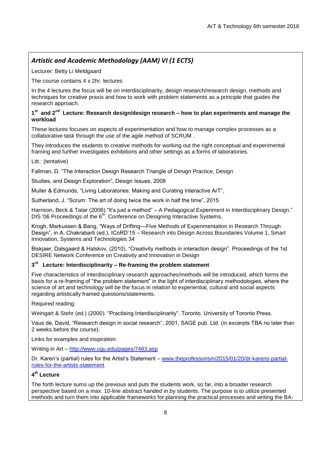# *Artistic and Academic Methodology (AAM) VI (1 ECTS)*

Lecturer: Betty Li Meldgaard

The course contains 4 x 2hr. lectures

In the 4 lectures the focus will be on interdisciplinarity, design research/research design, methods and techniques for creative praxis and how to work with problem statements as a principle that guides the research approach.

### **1 st and 2 nd Lecture: Research design/design research – how to plan experiments and manage the workload**

These lectures focuses on aspects of experimentation and how to manage complex processes as a collaborative task through the use of the agile method of SCRUM .

They introduces the students to creative methods for working out the right conceptual and experimental framing and further investigates exhibitions and other settings as a forms of laboratories.

Litt.: (tentative)

Fallman, D. "The Interaction Design Research Triangle of Design Practice, Design

Studies, and Design Exploration", Design Issues, 2008

Muller & Edmunds, "Living Laboratories: Making and Curating Interactive ArT",

Sutherland, J. "Scrum: The art of doing twice the work in half the time", 2015

Harrison, Beck & Tatar (2006). "It's just a method" – A Pedagogical Experiment in Interdisciplinary Design." DIS '06 Proceedings of the 6<sup>th</sup>. Conference on Designing Interactive Systems.

Krogh, Markussen & Bang, "Ways of Drifting—Five Methods of Experimentation in Research Through Design", in A. Chakrabarti (ed.), ICoRD'15 – Research into Design Across Boundaries Volume 1, Smart Innovation, Systems and Technologies 34

Biskjaer, Dalsgaard & Halskov, (2010), "Creativity methods in interaction design". Proceedings of the 1st DESIRE Network Conference on Creativity and Innovation in Design

# **3 rd Lecture: Interdisciplinarity – Re-framing the problem statement**

Five characteristics of interdisciplinary research approaches/methods will be introduced, which forms the basis for a re-framing of "the problem statement" in the light of interdisciplinary methodologies, where the science of art and technology will be the focus in relation to experiential, cultural and social aspects regarding artistically framed questions/statements.

Required reading:

Weingart & Stehr (ed.) (2000). "Practising Interdisciplinarity". Toronto. University of Toronto Press.

Vaus de, David, "Research design in social research", 2001, SAGE pub. Ltd. (in excerpts TBA no later than 2 weeks before the course).

Links for examples and inspiration:

Writing in Art – <http://www.cgu.edu/pages/7483.asp>

Dr. Karen's (partial) rules for the Artist's Statement – [www.theprofessorisin/2015/01/20/dr-karens-partial](http://www.theprofessorisin/2015/01/20/dr-karens-partial-rules-for-the-artists-statement)[rules-for-the-artists-statement](http://www.theprofessorisin/2015/01/20/dr-karens-partial-rules-for-the-artists-statement)

# **4 th Lecture**

The forth lecture sums up the previous and puts the students work, so far, into a broader research perspective based on a max. 10-line abstract handed in by students. The purpose is to utilize presented methods and turn them into applicable frameworks for planning the practical processes and writing the BA-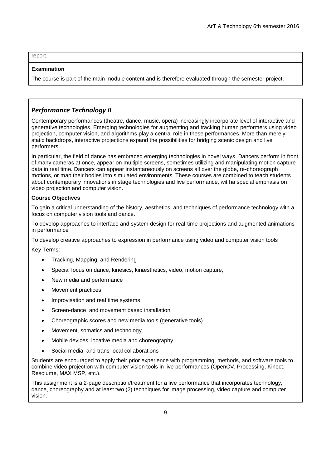report.

### **Examination**

The course is part of the main module content and is therefore evaluated through the semester project.

# *Performance Technology II*

Contemporary performances (theatre, dance, music, opera) increasingly incorporate level of interactive and generative technologies. Emerging technologies for augmenting and tracking human performers using video projection, computer vision, and algorithms play a central role in these performances. More than merely static backdrops, interactive projections expand the possibilities for bridging scenic design and live performers.

In particular, the field of dance has embraced emerging technologies in novel ways. Dancers perform in front of many cameras at once, appear on multiple screens, sometimes utilizing and manipulating motion capture data in real time. Dancers can appear instantaneously on screens all over the globe, re-choreograph motions, or map their bodies into simulated environments. These courses are combined to teach students about contemporary innovations in stage technologies and live performance, wit ha special emphasis on video projection and computer vision.

### **Course Objectives**

To gain a critical understanding of the history, aesthetics, and techniques of performance technology with a focus on computer vision tools and dance.

To develop approaches to interface and system design for real-time projections and augmented animations in performance

To develop creative approaches to expression in performance using video and computer vision tools

Key Terms:

- Tracking, Mapping, and Rendering
- Special focus on dance, kinesics, kinæsthetics, video, motion capture,
- New media and performance
- Movement practices
- Improvisation and real time systems
- Screen-dance and movement based installation
- Choreographic scores and new media tools (generative tools)
- Movement, somatics and technology
- Mobile devices, locative media and choreography
- Social media and trans-local collaborations

Students are encouraged to apply their prior experience with programming, methods, and software tools to combine video projection with computer vision tools in live performances (OpenCV, Processing, Kinect, Resolume, MAX MSP, etc.).

This assignment is a 2-page description/treatment for a live performance that incorporates technology, dance, choreography and at least two (2) techniques for image processing, video capture and computer vision.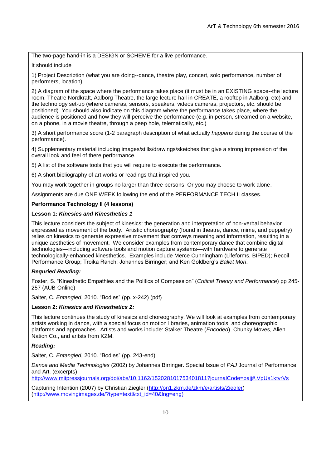The two-page hand-in is a DESIGN or SCHEME for a live performance.

### It should include

1) Project Description (what you are doing--dance, theatre play, concert, solo performance, number of performers, location).

2) A diagram of the space where the performance takes place (it must be in an EXISTING space--the lecture room, Theatre Nordkraft, Aalborg Theatre, the large lecture hall in CREATE, a rooftop in Aalborg, etc) and the technology set-up (where cameras, sensors, speakers, videos cameras, projectors, etc. should be positioned). You should also indicate on this diagram where the performance takes place, where the audience is positioned and how they will perceive the performance (e.g. in person, streamed on a website, on a phone, in a movie theatre, through a peep hole, telematically, etc.)

3) A short performance score (1-2 paragraph description of what actually *happens* during the course of the performance).

4) Supplementary material including images/stills/drawings/sketches that give a strong impression of the overall look and feel of there performance.

5) A list of the software tools that you will require to execute the performance.

6) A short bibliography of art works or readings that inspired you.

You may work together in groups no larger than three persons. Or you may choose to work alone.

Assignments are due ONE WEEK following the end of the PERFORMANCE TECH II classes.

#### **Performance Technology II (4 lessons)**

#### **Lesson 1:** *Kinesics and Kinesthetics 1*

This lecture considers the subject of kinesics: the generation and interpretation of non-verbal behavior expressed as movement of the body. Artistic choreography (found in theatre, dance, mime, and puppetry) relies on kinesics to generate expressive movement that conveys meaning and information, resulting in a unique aesthetics of movement. We consider examples from contemporary dance that combine digital technologies—including software tools and motion capture systems—with hardware to generate technologically-enhanced kinesthetics. Examples include Merce Cunningham (Lifeforms, BIPED); Recoil Performance Group; Troika Ranch; Johannes Birringer; and Ken Goldberg's *Ballet Mori*.

#### *Requried Reading:*

Foster, S. "Kinesthetic Empathies and the Politics of Compassion" (*Critical Theory and Performance*) pp 245-257 (AUB-Online)

Salter, C. *Entangled*, 2010. "Bodies" (pp. x-242) (pdf)

#### **Lesson 2:** *Kinesics and Kinesthetics 2:*

This lecture continues the study of kinesics and choreography. We will look at examples from contemporary artists working in dance, with a special focus on motion libraries, animation tools, and choreographic platforms and approaches. Artists and works include: Stalker Theatre (*Encoded*), Chunky Moves, Alien Nation Co., and aritsts from KZM.

#### *Reading:*

Salter, C. *Entangled*, 2010. "Bodies" (pp. 243-end)

*Dance and Media Technologies* (2002) by Johannes Birringer. Special Issue of *PAJ* Journal of Performance and Art. (excerpts)

<http://www.mitpressjournals.org/doi/abs/10.1162/152028101753401811?journalCode=pajj#.VpUs1ktvrVs>

Capturing Intention (2007) by Christian Ziegler [\(http://on1.zkm.de/zkm/e/artists/Ziegler\)](http://on1.zkm.de/zkm/e/artists/Ziegler) [\(http://www.movingimages.de/?type=text&txt\\_id=40&lng=eng\)](http://www.movingimages.de/?type=text&txt_id=40&lng=eng)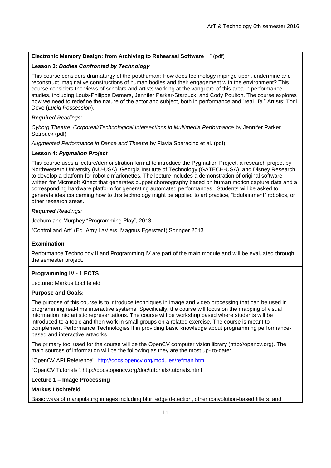# **Electronic Memory Design: from Archiving to Rehearsal Software** " (pdf)

## **Lesson 3:** *Bodies Confronted by Technology*

This course considers dramaturgy of the posthuman: How does technology impinge upon, undermine and reconstruct imaginative constructions of human bodies and their engagement with the environment? This course considers the views of scholars and artists working at the vanguard of this area in performance studies, including Louis-Philippe Demers, Jennifer Parker-Starbuck, and Cody Poulton. The course explores how we need to redefine the nature of the actor and subject, both in performance and "real life." Artists: Toni Dove (*Lucid Possession*).

### *Required Readings*:

*Cyborg Theatre: Corporeal/Technological Intersections in Multimedia Performance* by Jennifer Parker Starbuck (pdf)

*Augmented Performance in Dance and Theatre* by Flavia Sparacino et al. [\(pdf\)](https://www.moodle.aau.dk/pluginfile.php/409465/course/section/190898/flavia_augmented_performance.pdf)

### **Lesson 4:** *Pygmalion Project*

This course uses a lecture/demonstration format to introduce the Pygmalion Project, a research project by Northwestern University (NU-USA), Georgia Institute of Technology (GATECH-USA), and Disney Research to develop a platform for robotic marionettes. The lecture includes a demonstration of original software written for Microsoft Kinect that generates puppet choreography based on human motion capture data and a corresponding hardware platform for generating automated performances. Students will be asked to generate idea concerning how to this technology might be applied to art practice, "Edutainment" robotics, or other research areas.

### *Required Readings:*

Jochum and Murphey "Programming Play", 2013.

―Control and Art‖ (Ed. Amy LaViers, Magnus Egerstedt) Springer 2013.

#### **Examination**

Performance Technology II and Programming IV are part of the main module and will be evaluated through the semester project.

#### **Programming IV - 1 ECTS**

Lecturer: Markus Löchtefeld

#### **Purpose and Goals:**

The purpose of this course is to introduce techniques in image and video processing that can be used in programming real-time interactive systems. Specifically, the course will focus on the mapping of visual information into artistic representations. The course will be workshop based where students will be introduced to a topic and then work in small groups on a related exercise. The course is meant to complement Performance Technologies II in providing basic knowledge about programming performancebased and interactive artworks.

The primary tool used for the course will be the OpenCV computer vision library (http://opencv.org). The main sources of information will be the following as they are the most up- to-date:

"OpenCV API Reference",<http://docs.opencv.org/modules/refman.html>

"OpenCV Tutorials", http://docs.opencv.org/doc/tutorials/tutorials.html

**Lecture 1 – Image Processing**

# **Markus Löchtefeld**

Basic ways of manipulating images including blur, edge detection, other convolution-based filters, and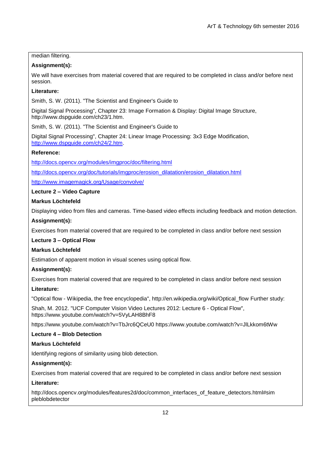# median filtering.

# **Assignment(s):**

We will have exercises from material covered that are required to be completed in class and/or before next session.

## **Literature:**

Smith, S. W. (2011). "The Scientist and Engineer's Guide to

Digital Signal Processing", Chapter 23: Image Formation & Display: Digital Image Structure, http://www.dspguide.com/ch23/1.htm.

Smith, S. W. (2011). "The Scientist and Engineer's Guide to

Digital Signal Processing", Chapter 24: Linear Image Processing: 3x3 Edge Modification, [http://www.dspguide.com/ch24/2.htm.](http://www.dspguide.com/ch24/2.htm)

# **Reference:**

<http://docs.opencv.org/modules/imgproc/doc/filtering.html>

[http://docs.opencv.org/doc/tutorials/imgproc/erosion\\_dilatation/erosion\\_dilatation.html](http://docs.opencv.org/doc/tutorials/imgproc/erosion_dilatation/erosion_dilatation.html)

<http://www.imagemagick.org/Usage/convolve/>

# **Lecture 2 – Video Capture**

# **Markus Löchtefeld**

Displaying video from files and cameras. Time-based video effects including feedback and motion detection.

# **Assignment(s):**

Exercises from material covered that are required to be completed in class and/or before next session

# **Lecture 3 – Optical Flow**

# **Markus Löchtefeld**

Estimation of apparent motion in visual scenes using optical flow.

# **Assignment(s):**

Exercises from material covered that are required to be completed in class and/or before next session

# **Literature:**

"Optical flow - Wikipedia, the free encyclopedia", http://en.wikipedia.org/wiki/Optical\_flow Further study:

Shah, M. 2012. "UCF Computer Vision Video Lectures 2012: Lecture 6 - Optical Flow", https://www.youtube.com/watch?v=5VyLAH8BhF8

https://www.youtube.com/watch?v=TbJrc6QCeU0 https://www.youtube.com/watch?v=JlLkkom6tWw

### **Lecture 4 – Blob Detection**

## **Markus Löchtefeld**

Identifying regions of similarity using blob detection.

## **Assignment(s):**

Exercises from material covered that are required to be completed in class and/or before next session

### **Literature:**

http://docs.opencv.org/modules/features2d/doc/common\_interfaces\_of\_feature\_detectors.html#sim pleblobdetector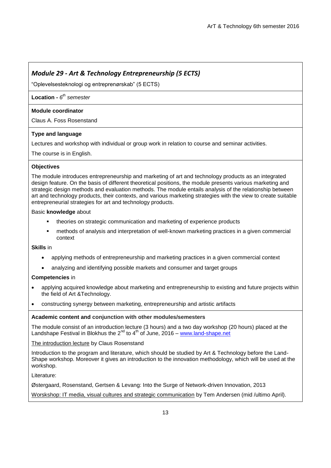# *Module 29 - Art & Technology Entrepreneurship (5 ECTS)*

―Oplevelsesteknologi og entreprenørskab‖ (5 ECTS)

# **Location -** *6 th semester*

# **Module coordinator**

Claus A. Foss Rosenstand

# **Type and language**

Lectures and workshop with individual or group work in relation to course and seminar activities.

The course is in English.

# **Objectives**

The module introduces entrepreneurship and marketing of art and technology products as an integrated design feature. On the basis of different theoretical positions, the module presents various marketing and strategic design methods and evaluation methods. The module entails analysis of the relationship between art and technology products, their contexts, and various marketing strategies with the view to create suitable entrepreneurial strategies for art and technology products.

### Basic **knowledge** about

- theories on strategic communication and marketing of experience products
- methods of analysis and interpretation of well-known marketing practices in a given commercial context

**Skills** in

- applying methods of entrepreneurship and marketing practices in a given commercial context
- analyzing and identifying possible markets and consumer and target groups

# **Competencies** in

- applying acquired knowledge about marketing and entrepreneurship to existing and future projects within the field of Art &Technology.
- constructing synergy between marketing, entrepreneurship and artistic artifacts

### **Academic content and conjunction with other modules/semesters**

The module consist of an introduction lecture (3 hours) and a two day workshop (20 hours) placed at the Landshape Festival in Blokhus the  $2^{nd}$  to  $4^{th}$  of June, 2016 – [www.land-shape.net](http://www.land-shape.net/)

The introduction lecture by Claus Rosenstand

Introduction to the program and literature, which should be studied by Art & Technology before the Land-Shape workshop. Moreover it gives an introduction to the innovation methodology, which will be used at the workshop.

Literature:

Østergaard, Rosenstand, Gertsen & Levang: Into the Surge of Network-driven Innovation, 2013

Worskshop: IT media, visual cultures and strategic communication by Tem Andersen (mid /ultimo April).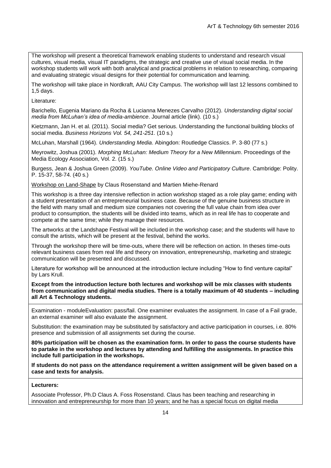The workshop will present a theoretical framework enabling students to understand and research visual cultures, visual media, visual IT paradigms, the strategic and creative use of visual social media. In the workshop students will work with both analytical and practical problems in relation to researching, comparing and evaluating strategic visual designs for their potential for communication and learning.

The workshop will take place in Nordkraft, AAU City Campus. The workshop will last 12 lessons combined to 1,5 days.

Literature:

Barichello, Eugenia Mariano da Rocha & Lucianna Menezes Carvalho (2012). *Understanding digital social media from McLuhan's idea of media-ambience*. Journal article (link). (10 s.)

Kietzmann, Jan H. et al. (2011). Social media? Get serious. Understanding the functional building blocks of social media. *Business Horizons Vol. 54, 241-251*. (10 s.)

McLuhan, Marshall (1964). *Understanding Media*. Abingdon: Routledge Classics. P. 3-80 (77 s.)

Meyrowitz, Joshua (2001). *Morphing McLuhan: Medium Theory for a New Millennium*. Proceedings of the Media Ecology Association, Vol. 2. (15 s.)

Burgess, Jean & Joshua Green (2009). *YouTube. Online Video and Participatory Culture*. Cambridge: Polity. P. 15-37, 58-74. (40 s.)

Workshop on Land-Shape by Claus Rosenstand and Martien Miehe-Renard

This workshop is a three day intensive reflection in action workshop staged as a role play game; ending with a student presentation of an entrepreneurial business case. Because of the genuine business structure in the field with many small and medium size companies not covering the full value chain from idea over product to consumption, the students will be divided into teams, which as in real life has to cooperate and compete at the same time; while they manage their resources.

The artworks at the Landshape Festival will be included in the workshop case; and the students will have to consult the artists, which will be present at the festival, behind the works.

Through the workshop there will be time-outs, where there will be reflection on action. In theses time-outs relevant business cases from real life and theory on innovation, entrepreneurship, marketing and strategic communication will be presented and discussed.

Literature for workshop will be announced at the introduction lecture including "How to find venture capital" by Lars Krull.

**Except from the introduction lecture both lectures and workshop will be mix classes with students from communication and digital media studies. There is a totally maximum of 40 students – including all Art & Technology students.** 

Examination - moduleEvaluation: pass/fail. One examiner evaluates the assignment. In case of a Fail grade, an external examiner will also evaluate the assignment.

Substitution: the examination may be substituted by satisfactory and active participation in courses, i.e. 80% presence and submission of all assignments set during the course.

**80% participation will be chosen as the examination form. In order to pass the course students have to partake in the workshop and lectures by attending and fulfilling the assignments. In practice this include full participation in the workshops.**

**If students do not pass on the attendance requirement a written assignment will be given based on a case and texts for analysis.**

#### **Lecturers:**

Associate Professor, Ph.D Claus A. Foss Rosenstand. Claus has been teaching and researching in innovation and entrepreneurship for more than 10 years; and he has a special focus on digital media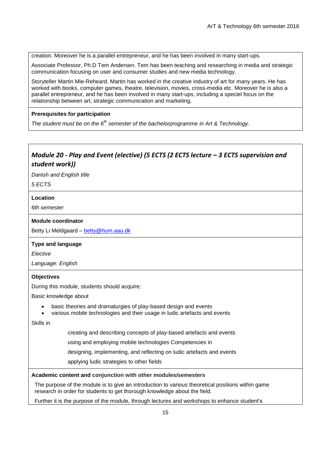creation. Moreover he is a parallel entrepreneur, and he has been involved in many start-ups.

Associate Professor, Ph.D Tem Andersen. Tem has been teaching and researching in media and strategic communication focusing on user and consumer studies and new media technology.

Storyteller Martin Mie-Reheard. Martin has worked in the creative industry of art for many years. He has worked with books, computer games, theatre, television, movies, cross-media etc. Moreover he is also a parallel entrepreneur, and he has been involved in many start-ups, including a speciel focus on the relationship between art, strategic communication and marketing.

## **Prerequisites for participation**

*The student must be on the 6th semester of the bachelorprogramme in Art & Technology.*

# *Module 20 - Play and Event (elective) (5 ECTS (2 ECTS lecture – 3 ECTS supervision and student work))*

*Danish and English title*

*5 ECTS*

### **Location**

*6th semester*

### **Module coordinator**

Betty Li Meldgaard – [betty@hum.aau.dk](mailto:betty@hum.aau.dk)

### **Type and language**

*Elective*

*Language: English*

### **Objectives**

During this module, students should acquire:

Basic knowledge about

- basic theories and dramaturgies of play-based design and events
- various mobile technologies and their usage in ludic artefacts and events

Skills in

creating and describing concepts of play-based artefacts and events

using and employing mobile technologies Competencies in

designing, implementing, and reflecting on ludic artefacts and events

applying ludic strategies to other fields

### **Academic content and conjunction with other modules/semesters**

The purpose of the module is to give an introduction to various theoretical positions within game research in order for students to get thorough knowledge about the field.

Further it is the purpose of the module, through lectures and workshops to enhance student's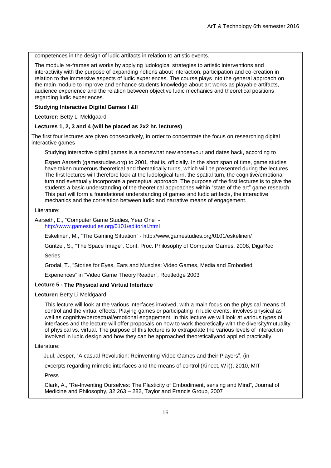competences in the design of ludic artifacts in relation to artistic events.

The module re-frames art works by applying ludological strategies to artistic interventions and interactivity with the purpose of expanding notions about interaction, participation and co-creation in relation to the immersive aspects of ludic experiences. The course plays into the general approach on the main module to improve and enhance students knowledge about art works as playable artifacts, audience experience and the relation between objective ludic mechanics and theoretical positions regarding ludic experiences.

#### **Studying Interactive Digital Games I &II**

**Lecturer:** Betty Li Meldgaard

#### **Lectures 1, 2, 3 and 4 (will be placed as 2x2 hr. lectures)**

The first four lectures are given consecutively, in order to concentrate the focus on researching digital interactive games

Studying interactive digital games is a somewhat new endeavour and dates back, according to

Espen Aarseth (gamestudies.org) to 2001, that is, officially. In the short span of time, game studies have taken numerous theoretical and thematically turns, which will be presented during the lectures. The first lectures will therefore look at the ludological turn, the spatial turn, the cognitive/emotional turn and eventually incorporate a perceptual approach. The purpose of the first lectures is to give the students a basic understanding of the theoretical approaches within "state of the art" game research. This part will form a foundational understanding of games and ludic artifacts, the interactive mechanics and the correlation between ludic and narrative means of engagement.

#### Literature:

Aarseth, E., "Computer Game Studies, Year One" <http://www.gamestudies.org/0101/editorial.html>

Eskelinen, M., "The Gaming Situation" - <http://www.gamestudies.org/0101/eskelinen/>

Güntzel, S., "The Space Image", Conf. Proc. Philosophy of Computer Games, 2008, DigaRec

Series

Grodal, T., "Stories for Eves, Ears and Muscles: Video Games, Media and Embodied

Experiences" in "Video Game Theory Reader", Routledge 2003

#### **Lecture 5 - The Physical and Virtual Interface**

#### **Lecturer:** Betty Li Meldgaard

This lecture will look at the various interfaces involved, with a main focus on the physical means of control and the virtual effects. Playing games or participating in ludic events, involves physical as well as cognitive/perceptual/emotional engagement. In this lecture we will look at various types of interfaces and the lecture will offer proposals on how to work theoretically with the diversity/mutuality of physical vs. virtual. The purpose of this lecture is to extrapolate the various levels of interaction involved in ludic design and how they can be approached theoreticallyand applied practically.

#### Literature:

Juul, Jesper, "A casual Revolution: Reinventing Video Games and their Players", (in

excerpts regarding mimetic interfaces and the means of control (Kinect, Wii)), 2010, MIT

Press

Clark, A., "Re-Inventing Ourselves: The Plasticity of Embodiment, sensing and Mind", Journal of Medicine and Philosophy, 32:263 – 282, Taylor and Francis Group, 2007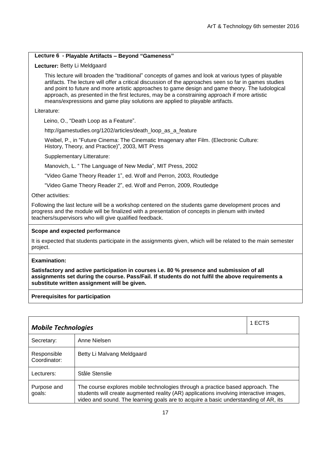### **Lecture 6 - Playable Artifacts – Beyond "Gameness"**

### **Lecturer:** Betty Li Meldgaard

This lecture will broaden the "traditional" concepts of games and look at various types of playable artifacts. The lecture will offer a critical discussion of the approaches seen so far in games studies and point to future and more artistic approaches to game design and game theory. The ludological approach, as presented in the first lectures, may be a constraining approach if more artistic means/expressions and game play solutions are applied to playable artifacts.

Literature:

Leino, O., "Death Loop as a Feature".

[http://gamestudies.org/1202/articles/death\\_loop\\_as\\_a\\_feature](http://gamestudies.org/1202/articles/death_loop_as_a_feature)

Weibel, P., in "Future Cinema: The Cinematic Imagenary after Film. (Electronic Culture: History, Theory, and Practice)", 2003, MIT Press

Supplementary Litterature:

Manovich, L. " The Language of New Media", MIT Press, 2002

―Video Game Theory Reader 1‖, ed. Wolf and Perron, 2003, Routledge

―Video Game Theory Reader 2‖, ed. Wolf and Perron, 2009, Routledge

Other activities:

Following the last lecture will be a workshop centered on the students game development proces and progress and the module will be finalized with a presentation of concepts in plenum with invited teachers/supervisors who will give qualified feedback.

### **Scope and expected performance**

It is expected that students participate in the assignments given, which will be related to the main semester project.

#### **Examination:**

**Satisfactory and active participation in courses i.e. 80 % presence and submission of all assignments set during the course. Pass/Fail. If students do not fulfil the above requirements a substitute written assignment will be given.**

### **Prerequisites for participation**

| 1 ECTS<br><b>Mobile Technologies</b> |                                                                                                                                                                                                                                                                 |  |
|--------------------------------------|-----------------------------------------------------------------------------------------------------------------------------------------------------------------------------------------------------------------------------------------------------------------|--|
| Secretary:                           | Anne Nielsen                                                                                                                                                                                                                                                    |  |
| Responsible<br>Coordinator:          | Betty Li Malvang Meldgaard                                                                                                                                                                                                                                      |  |
| Lecturers:                           | Ståle Stenslie                                                                                                                                                                                                                                                  |  |
| Purpose and<br>goals:                | The course explores mobile technologies through a practice based approach. The<br>students will create augmented reality (AR) applications involving interactive images,<br>video and sound. The learning goals are to acquire a basic understanding of AR, its |  |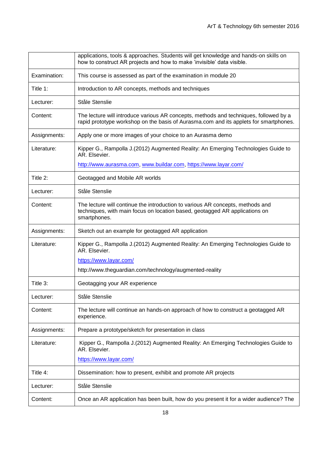|              | applications, tools & approaches. Students will get knowledge and hands-on skills on<br>how to construct AR projects and how to make 'invisible' data visible.                 |
|--------------|--------------------------------------------------------------------------------------------------------------------------------------------------------------------------------|
| Examination: | This course is assessed as part of the examination in module 20                                                                                                                |
| Title 1:     | Introduction to AR concepts, methods and techniques                                                                                                                            |
| Lecturer:    | Ståle Stenslie                                                                                                                                                                 |
| Content:     | The lecture will introduce various AR concepts, methods and techniques, followed by a<br>rapid prototype workshop on the basis of Aurasma.com and its applets for smartphones. |
| Assignments: | Apply one or more images of your choice to an Aurasma demo                                                                                                                     |
| Literature:  | Kipper G., Rampolla J.(2012) Augmented Reality: An Emerging Technologies Guide to<br>AR. Elsevier.                                                                             |
|              | http://www.aurasma.com, www.buildar.com, https://www.layar.com/                                                                                                                |
| Title 2:     | Geotagged and Mobile AR worlds                                                                                                                                                 |
| Lecturer:    | Ståle Stenslie                                                                                                                                                                 |
| Content:     | The lecture will continue the introduction to various AR concepts, methods and<br>techniques, with main focus on location based, geotagged AR applications on<br>smartphones.  |
| Assignments: | Sketch out an example for geotagged AR application                                                                                                                             |
| Literature:  | Kipper G., Rampolla J.(2012) Augmented Reality: An Emerging Technologies Guide to<br>AR. Elsevier.                                                                             |
|              | https://www.layar.com/                                                                                                                                                         |
|              | http://www.theguardian.com/technology/augmented-reality                                                                                                                        |
| Title 3:     | Geotagging your AR experience                                                                                                                                                  |
| Lecturer:    | Ståle Stenslie                                                                                                                                                                 |
| Content:     | The lecture will continue an hands-on approach of how to construct a geotagged AR<br>experience.                                                                               |
| Assignments: | Prepare a prototype/sketch for presentation in class                                                                                                                           |
| Literature:  | Kipper G., Rampolla J.(2012) Augmented Reality: An Emerging Technologies Guide to<br>AR. Elsevier.                                                                             |
|              | https://www.layar.com/                                                                                                                                                         |
| Title 4:     | Dissemination: how to present, exhibit and promote AR projects                                                                                                                 |
| Lecturer:    | Ståle Stenslie                                                                                                                                                                 |
| Content:     | Once an AR application has been built, how do you present it for a wider audience? The                                                                                         |